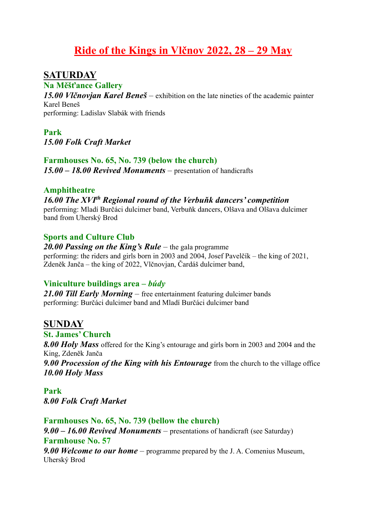# **Ride of the Kings in Vlčnov 2022, 28 – 29 May**

## **SATURDAY**

**Na Měšťance Gallery**

*15.00 Vlčnovjan Karel Beneš* – exhibition on the late nineties of the academic painter Karel Beneš

performing: Ladislav Slabák with friends

### **Park**  *15.00 Folk Craft Market*

## **Farmhouses No. 65, No. 739 (below the church)**

*15.00 – 18.00 Revived Monuments* – presentation of handicrafts

### **Amphitheatre**

## *16.00 The XVIth Regional round of the Verbuňk dancers' competition*

performing: Mladí Burčáci dulcimer band, Verbuňk dancers, Olšava and Olšava dulcimer band from Uherský Brod

## **Sports and Culture Club**

### *20.00 Passing on the King's Rule* – the gala programme performing: the riders and girls born in 2003 and 2004, Josef Pavelčík – the king of 2021, Zdeněk Janča – the king of 2022, Vlčnovjan, Čardáš dulcimer band,

## **Viniculture buildings area –** *búdy*

*21.00 Till Early Morning* – free entertainment featuring dulcimer bands performing: Burčáci dulcimer band and Mladí Burčáci dulcimer band

## **SUNDAY**

## **St. James' Church**

*8.00 Holy Mass* offered for the King's entourage and girls born in 2003 and 2004 and the King, Zdeněk Janča

*9.00 Procession of the King with his Entourage* from the church to the village office *10.00 Holy Mass*

**Park** *8.00 Folk Craft Market*

## **Farmhouses No. 65, No. 739 (bellow the church)**

*9.00 – 16.00 Revived Monuments* – presentations of handicraft (see Saturday) **Farmhouse No. 57** *9.00 Welcome to our home* – programme prepared by the J. A. Comenius Museum, Uherský Brod